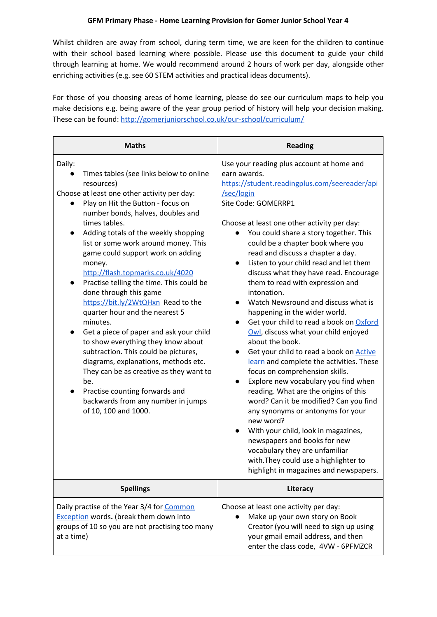Whilst children are away from school, during term time, we are keen for the children to continue with their school based learning where possible. Please use this document to guide your child through learning at home. We would recommend around 2 hours of work per day, alongside other enriching activities (e.g. see 60 STEM activities and practical ideas documents).

For those of you choosing areas of home learning, please do see our curriculum maps to help you make decisions e.g. being aware of the year group period of history will help your decision making. These can be found: <http://gomerjuniorschool.co.uk/our-school/curriculum/>

| <b>Maths</b>                                                                                                                                                                                                                                                                                                                                                                                                                                                                                                                                                                                                                                                                                                                                                                                                                                              | <b>Reading</b>                                                                                                                                                                                                                                                                                                                                                                                                                                                                                                                                                                                                                                                                                                                                                                                                                                                                                                                                                                                                                                                                                                                                                             |  |
|-----------------------------------------------------------------------------------------------------------------------------------------------------------------------------------------------------------------------------------------------------------------------------------------------------------------------------------------------------------------------------------------------------------------------------------------------------------------------------------------------------------------------------------------------------------------------------------------------------------------------------------------------------------------------------------------------------------------------------------------------------------------------------------------------------------------------------------------------------------|----------------------------------------------------------------------------------------------------------------------------------------------------------------------------------------------------------------------------------------------------------------------------------------------------------------------------------------------------------------------------------------------------------------------------------------------------------------------------------------------------------------------------------------------------------------------------------------------------------------------------------------------------------------------------------------------------------------------------------------------------------------------------------------------------------------------------------------------------------------------------------------------------------------------------------------------------------------------------------------------------------------------------------------------------------------------------------------------------------------------------------------------------------------------------|--|
| Daily:<br>Times tables (see links below to online<br>resources)<br>Choose at least one other activity per day:<br>Play on Hit the Button - focus on<br>number bonds, halves, doubles and<br>times tables.<br>Adding totals of the weekly shopping<br>list or some work around money. This<br>game could support work on adding<br>money.<br>http://flash.topmarks.co.uk/4020<br>Practise telling the time. This could be<br>done through this game<br>https://bit.ly/2WtQHxn Read to the<br>quarter hour and the nearest 5<br>minutes.<br>Get a piece of paper and ask your child<br>to show everything they know about<br>subtraction. This could be pictures,<br>diagrams, explanations, methods etc.<br>They can be as creative as they want to<br>be.<br>Practise counting forwards and<br>backwards from any number in jumps<br>of 10, 100 and 1000. | Use your reading plus account at home and<br>earn awards.<br>https://student.readingplus.com/seereader/api<br>/sec/login<br>Site Code: GOMERRP1<br>Choose at least one other activity per day:<br>You could share a story together. This<br>could be a chapter book where you<br>read and discuss a chapter a day.<br>Listen to your child read and let them<br>$\bullet$<br>discuss what they have read. Encourage<br>them to read with expression and<br>intonation.<br>Watch Newsround and discuss what is<br>happening in the wider world.<br>Get your child to read a book on Oxford<br>Owl, discuss what your child enjoyed<br>about the book.<br>Get your child to read a book on <b>Active</b><br>learn and complete the activities. These<br>focus on comprehension skills.<br>Explore new vocabulary you find when<br>$\bullet$<br>reading. What are the origins of this<br>word? Can it be modified? Can you find<br>any synonyms or antonyms for your<br>new word?<br>With your child, look in magazines,<br>newspapers and books for new<br>vocabulary they are unfamiliar<br>with. They could use a highlighter to<br>highlight in magazines and newspapers. |  |
| <b>Spellings</b>                                                                                                                                                                                                                                                                                                                                                                                                                                                                                                                                                                                                                                                                                                                                                                                                                                          | Literacy                                                                                                                                                                                                                                                                                                                                                                                                                                                                                                                                                                                                                                                                                                                                                                                                                                                                                                                                                                                                                                                                                                                                                                   |  |
| Daily practise of the Year 3/4 for Common<br><b>Exception words. (break them down into</b><br>groups of 10 so you are not practising too many<br>at a time)                                                                                                                                                                                                                                                                                                                                                                                                                                                                                                                                                                                                                                                                                               | Choose at least one activity per day:<br>Make up your own story on Book<br>Creator (you will need to sign up using<br>your gmail email address, and then<br>enter the class code, 4VW - 6PFMZCR                                                                                                                                                                                                                                                                                                                                                                                                                                                                                                                                                                                                                                                                                                                                                                                                                                                                                                                                                                            |  |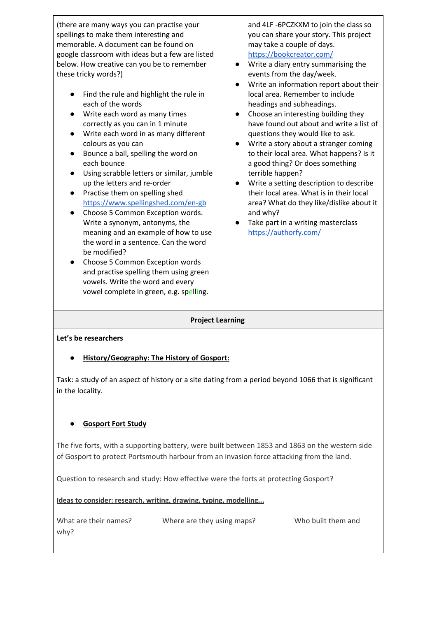(there are many ways you can practise your spellings to make them interesting and memorable. A document can be found on google classroom with ideas but a few are listed below. How creative can you be to remember these tricky words?) ● Find the rule and highlight the rule in each of the words ● Write each word as many times correctly as you can in 1 minute ● Write each word in as many different colours as you can Bounce a ball, spelling the word on each bounce ● Using scrabble letters or similar, jumble up the letters and re-order ● Practise them on spelling shed <https://www.spellingshed.com/en-gb> ● Choose 5 Common Exception words. Write a synonym, antonyms, the meaning and an example of how to use the word in a sentence. Can the word be modified? Choose 5 Common Exception words and practise spelling them using green vowels. Write the word and every vowel complete in green, e.g. spelling. and 4LF -6PCZKXM to join the class so you can share your story. This project may take a couple of days. <https://bookcreator.com/> ● Write a diary entry summarising the events from the day/week. ● Write an information report about their local area. Remember to include headings and subheadings. Choose an interesting building they have found out about and write a list of questions they would like to ask. ● Write a story about a stranger coming to their local area. What happens? Is it a good thing? Or does something terrible happen? ● Write a setting description to describe their local area. What is in their local area? What do they like/dislike about it and why? ● Take part in a writing masterclass <https://authorfy.com/> **Project Learning Let's be researchers**

## **● History/Geography: The History of Gosport:**

Task: a study of an aspect of history or a site dating from a period beyond 1066 that is significant in the locality.

## **● Gosport Fort Study**

The five forts, with a supporting battery, were built between 1853 and 1863 on the western side of Gosport to protect Portsmouth harbour from an invasion force attacking from the land.

Question to research and study: How effective were the forts at protecting Gosport?

**Ideas to consider: research, writing, drawing, typing, modelling...**

| What are their names? | Where are they using maps? | Who built them and |
|-----------------------|----------------------------|--------------------|
| why?                  |                            |                    |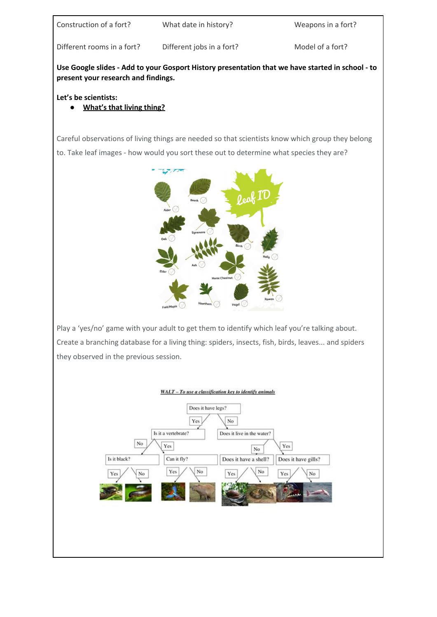| Construction of a fort? |  |
|-------------------------|--|
|                         |  |

What date in history? Weapons in a fort?

Different rooms in a fort? Different jobs in a fort? Model of a fort?

**Use Google slides - Add to your Gosport History presentation that we have started in school - to present your research and findings.**

## **Let's be scientists:**

# **● What's that living thing?**

Careful observations of living things are needed so that scientists know which group they belong to. Take leaf images - how would you sort these out to determine what species they are?



Play a 'yes/no' game with your adult to get them to identify which leaf you're talking about. Create a branching database for a living thing: spiders, insects, fish, birds, leaves... and spiders they observed in the previous session.



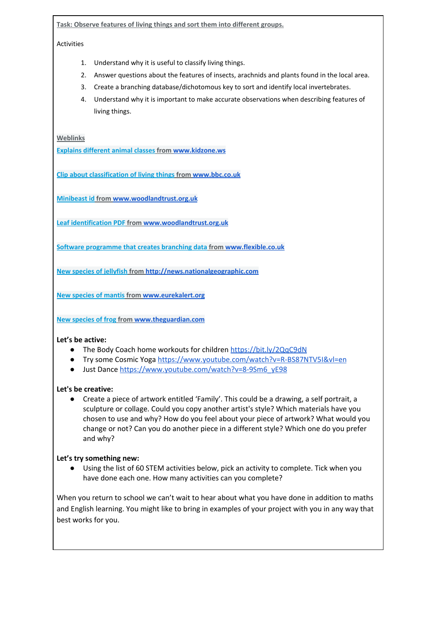**Task: Observe features of living things and sort them into different groups.**

Activities

- 1. Understand why it is useful to classify living things.
- 2. Answer questions about the features of insects, arachnids and plants found in the local area.
- 3. Create a branching database/dichotomous key to sort and identify local invertebrates.
- 4. Understand why it is important to make accurate observations when describing features of living things.

**Weblinks**

**Explains [different](http://www.kidzone.ws/animals/animal_classes.htm) animal classes from [www.kidzone.ws](http://www.kidzone.ws/)**

**Clip about [classification](http://www.bbc.co.uk/education/clips/zpqcfrd) of living things from [www.bbc.co.uk](http://www.bbc.co.uk/)**

**[Minibeast](http://www.woodlandtrust.org.uk/naturedetectives/activities/2015/06/minibeast-hunt/) id from [www.woodlandtrust.org.uk](http://www.woodlandtrust.org.uk/)**

**Leaf [identification](http://www.woodlandtrust.org.uk/naturedetectives/activities/2015/09/leaf-id/) PDF from [www.woodlandtrust.org.uk](http://www.woodlandtrust.org.uk/)**

**Software [programme](http://www.flexible.co.uk/FTdownloads.html) that creates branching data from [www.flexible.co.uk](http://www.flexible.co.uk/)**

**New species of [jellyfish](http://news.nationalgeographic.com/news/2014/05/140515-new-jellyfish-species-adriatic-sea-animals-science/) from [http://news.nationalgeographic.com](http://news.nationalgeographic.com/)**

**New [species](http://www.eurekalert.org/pub_releases/2014-05/pp-tbt051614.php) of mantis from [www.eurekalert.org](http://www.eurekalert.org/)**

**New [species](https://www.theguardian.com/environment/2014/may/08/dancing-frog-species-discovered-in-indian-jungle-mountains) of frog from [www.theguardian.com](http://www.theguardian.com/)**

#### **Let's be active:**

- **●** The Body Coach home workouts for children <https://bit.ly/2QqC9dN>
- Try some Cosmic Yoga <https://www.youtube.com/watch?v=R-BS87NTV5I&vl=en>
- Just Dance [https://www.youtube.com/watch?v=8-9Sm6\\_yE98](https://www.youtube.com/watch?v=8-9Sm6_yE98)

#### **Let's be creative:**

● Create a piece of artwork entitled 'Family'. This could be a drawing, a self portrait, a sculpture or collage. Could you copy another artist's style? Which materials have you chosen to use and why? How do you feel about your piece of artwork? What would you change or not? Can you do another piece in a different style? Which one do you prefer and why?

#### **Let's try something new:**

● Using the list of 60 STEM activities below, pick an activity to complete. Tick when you have done each one. How many activities can you complete?

When you return to school we can't wait to hear about what you have done in addition to maths and English learning. You might like to bring in examples of your project with you in any way that best works for you.